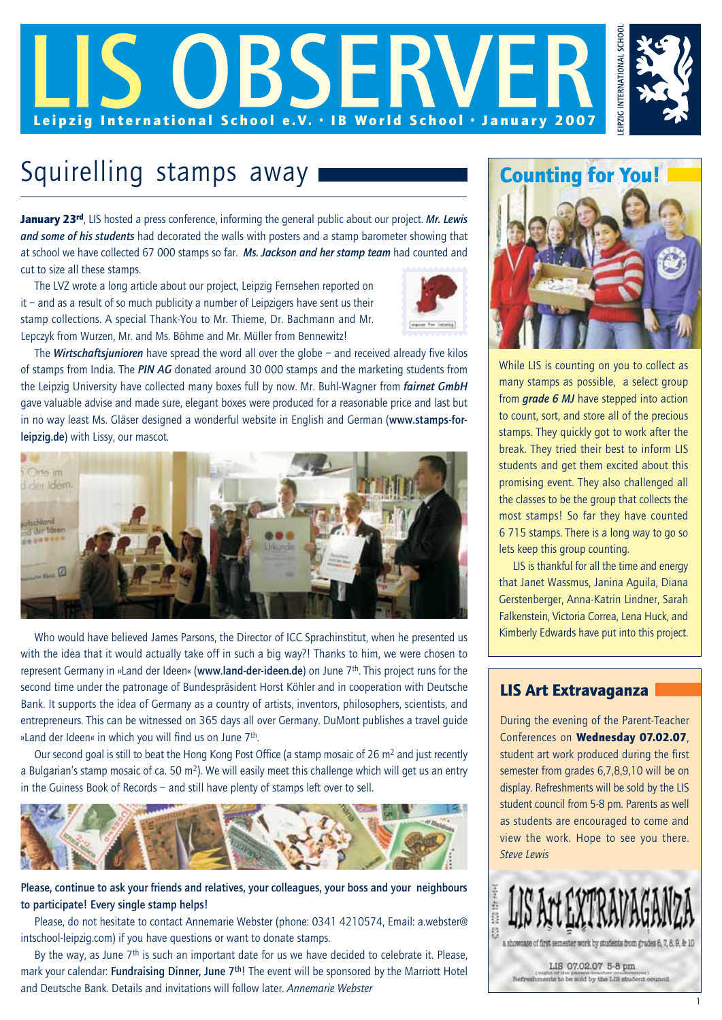

## Squirelling stamps away **Counting for You!**

January 23rd, LIS hosted a press conference, informing the general public about our project. *Mr. Lewis and some of his students* had decorated the walls with posters and a stamp barometer showing that at school we have collected 67 000 stamps so far. *Ms. Jackson and her stamp team* had counted and cut to size all these stamps.

The LVZ wrote a long article about our project, Leipzig Fernsehen reported on it – and as a result of so much publicity a number of Leipzigers have sent us their stamp collections. A special Thank-You to Mr. Thieme, Dr. Bachmann and Mr. Lepczyk from Wurzen, Mr. and Ms. Böhme and Mr. Müller from Bennewitz!



The *Wirtschaftsjunioren* have spread the word all over the globe – and received already five kilos of stamps from India. The *PIN AG* donated around 30 000 stamps and the marketing students from the Leipzig University have collected many boxes full by now. Mr. Buhl-Wagner from *fairnet GmbH* gave valuable advise and made sure, elegant boxes were produced for a reasonable price and last but in no way least Ms. Gläser designed a wonderful website in English and German (www.stamps-forleipzig.de) with Lissy, our mascot.



Who would have believed James Parsons, the Director of ICC Sprachinstitut, when he presented us with the idea that it would actually take off in such a big way?! Thanks to him, we were chosen to represent Germany in »Land der Ideen« (www.land-der-ideen.de) on June 7<sup>th</sup>. This project runs for the second time under the patronage of Bundespräsident Horst Köhler and in cooperation with Deutsche Bank. It supports the idea of Germany as a country of artists, inventors, philosophers, scientists, and entrepreneurs. This can be witnessed on 365 days all over Germany. DuMont publishes a travel guide »Land der Ideen« in which you will find us on June 7th.

Our second goal is still to beat the Hong Kong Post Office (a stamp mosaic of 26 m<sup>2</sup> and just recently a Bulgarian's stamp mosaic of ca. 50 m<sup>2</sup>). We will easily meet this challenge which will get us an entry in the Guiness Book of Records – and still have plenty of stamps left over to sell.



#### Please, continue to ask your friends and relatives, your colleagues, your boss and your neighbours to participate! Every single stamp helps!

Please, do not hesitate to contact Annemarie Webster (phone: 0341 4210574, Email: a.webster@ intschool-leipzig.com) if you have questions or want to donate stamps.

By the way, as June  $7<sup>th</sup>$  is such an important date for us we have decided to celebrate it. Please, mark your calendar: Fundraising Dinner, June 7<sup>th</sup>! The event will be sponsored by the Marriott Hotel and Deutsche Bank. Details and invitations will follow later. *Annemarie Webster*



While LIS is counting on you to collect as many stamps as possible, a select group from *grade 6 MJ* have stepped into action to count, sort, and store all of the precious stamps. They quickly got to work after the break. They tried their best to inform LIS students and get them excited about this promising event. They also challenged all the classes to be the group that collects the most stamps! So far they have counted 6 715 stamps. There is a long way to go so lets keep this group counting.

LIS is thankful for all the time and energy that Janet Wassmus, Janina Aguila, Diana Gerstenberger, Anna-Katrin Lindner, Sarah Falkenstein, Victoria Correa, Lena Huck, and Kimberly Edwards have put into this project.

#### LIS Art Extravaganza

During the evening of the Parent-Teacher Conferences on Wednesday 07.02.07, student art work produced during the first semester from grades 6,7,8,9,10 will be on display. Refreshments will be sold by the LIS student council from 5-8 pm. Parents as well as students are encouraged to come and view the work. Hope to see you there. *Steve Lewis*

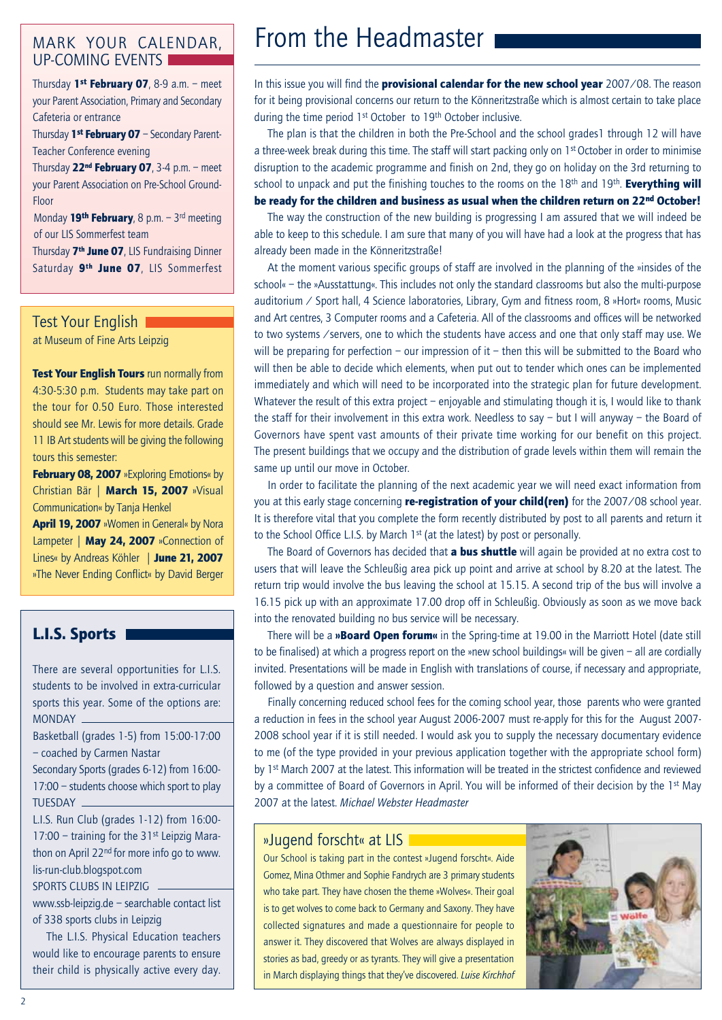#### MARK YOUR CALENDAR, UP-COMING EVENTS

Thursday 1<sup>st</sup> February 07, 8-9 a.m. - meet your Parent Association, Primary and Secondary Cafeteria or entrance

Thursday 1<sup>st</sup> February 07 - Secondary Parent-Teacher Conference evening

Thursday  $22^{nd}$  February 07, 3-4 p.m. – meet your Parent Association on Pre-School Ground-Floor

Monday 19<sup>th</sup> February, 8 p.m.  $-3^{rd}$  meeting of our LIS Sommerfest team

Thursday 7<sup>th</sup> June 07, LIS Fundraising Dinner Saturday 9<sup>th</sup> June 07, LIS Sommerfest

### Test Your English

at Museum of Fine Arts Leipzig

Test Your English Tours run normally from 4:30-5:30 p.m. Students may take part on the tour for 0.50 Euro. Those interested should see Mr. Lewis for more details. Grade 11 IB Art students will be giving the following tours this semester:

**February 08, 2007** »Exploring Emotions« by Christian Bär | March 15, 2007 »Visual Communication« by Tanja Henkel

April 19, 2007 »Women in General« by Nora Lampeter | May 24, 2007 »Connection of Lines« by Andreas Köhler | June 21, 2007 »The Never Ending Conflict« by David Berger

### L.I.S. Sports

There are several opportunities for L.I.S. students to be involved in extra-curricular sports this year. Some of the options are: MONDAY Basketball (grades 1-5) from 15:00-17:00 – coached by Carmen Nastar Secondary Sports (grades 6-12) from 16:00- 17:00 – students choose which sport to play TUESDAY L.I.S. Run Club (grades 1-12) from 16:00- 17:00 – training for the  $31<sup>st</sup>$  Leipzig Marathon on April 22nd for more info go to www. lis-run-club.blogspot.com SPORTS CLUBS IN LEIPZIG www.ssb-leipzig.de – searchable contact list of 338 sports clubs in Leipzig

The L.I.S. Physical Education teachers would like to encourage parents to ensure their child is physically active every day.

# From the Headmaster

In this issue you will find the **provisional calendar for the new school year**  $2007/08$ . The reason for it being provisional concerns our return to the Könneritzstraße which is almost certain to take place during the time period 1<sup>st</sup> October to 19<sup>th</sup> October inclusive.

The plan is that the children in both the Pre-School and the school grades1 through 12 will have a three-week break during this time. The staff will start packing only on 1<sup>st</sup> October in order to minimise disruption to the academic programme and finish on 2nd, they go on holiday on the 3rd returning to school to unpack and put the finishing touches to the rooms on the  $18<sup>th</sup>$  and  $19<sup>th</sup>$ . Everything will be ready for the children and business as usual when the children return on  $22<sup>nd</sup>$  October!

The way the construction of the new building is progressing I am assured that we will indeed be able to keep to this schedule. I am sure that many of you will have had a look at the progress that has already been made in the Könneritzstraße!

At the moment various specific groups of staff are involved in the planning of the »insides of the school« – the »Ausstattung«. This includes not only the standard classrooms but also the multi-purpose auditorium / Sport hall, 4 Science laboratories, Library, Gym and fitness room, 8 »Hort« rooms, Music and Art centres, 3 Computer rooms and a Cafeteria. All of the classrooms and offices will be networked to two systems /servers, one to which the students have access and one that only staff may use. We will be preparing for perfection – our impression of it – then this will be submitted to the Board who will then be able to decide which elements, when put out to tender which ones can be implemented immediately and which will need to be incorporated into the strategic plan for future development. Whatever the result of this extra project – enjoyable and stimulating though it is, I would like to thank the staff for their involvement in this extra work. Needless to say – but I will anyway – the Board of Governors have spent vast amounts of their private time working for our benefit on this project. The present buildings that we occupy and the distribution of grade levels within them will remain the same up until our move in October.

In order to facilitate the planning of the next academic year we will need exact information from you at this early stage concerning **re-registration of your child(ren)** for the 2007/08 school year. It is therefore vital that you complete the form recently distributed by post to all parents and return it to the School Office L.I.S. by March 1st (at the latest) by post or personally.

The Board of Governors has decided that **a bus shuttle** will again be provided at no extra cost to users that will leave the Schleußig area pick up point and arrive at school by 8.20 at the latest. The return trip would involve the bus leaving the school at 15.15. A second trip of the bus will involve a 16.15 pick up with an approximate 17.00 drop off in Schleußig. Obviously as soon as we move back into the renovated building no bus service will be necessary.

There will be a »Board Open forum« in the Spring-time at 19.00 in the Marriott Hotel (date still to be finalised) at which a progress report on the »new school buildings« will be given – all are cordially invited. Presentations will be made in English with translations of course, if necessary and appropriate, followed by a question and answer session.

Finally concerning reduced school fees for the coming school year, those parents who were granted a reduction in fees in the school year August 2006-2007 must re-apply for this for the August 2007- 2008 school year if it is still needed. I would ask you to supply the necessary documentary evidence to me (of the type provided in your previous application together with the appropriate school form) by 1<sup>st</sup> March 2007 at the latest. This information will be treated in the strictest confidence and reviewed by a committee of Board of Governors in April. You will be informed of their decision by the 1<sup>st</sup> May 2007 at the latest. *Michael Webster Headmaster*

#### »Jugend forscht« at LIS

Our School is taking part in the contest »Jugend forscht«. Aide Gomez, Mina Othmer and Sophie Fandrych are 3 primary students who take part. They have chosen the theme »Wolves«. Their goal is to get wolves to come back to Germany and Saxony. They have collected signatures and made a questionnaire for people to answer it. They discovered that Wolves are always displayed in stories as bad, greedy or as tyrants. They will give a presentation in March displaying things that they've discovered. *Luise Kirchhof*

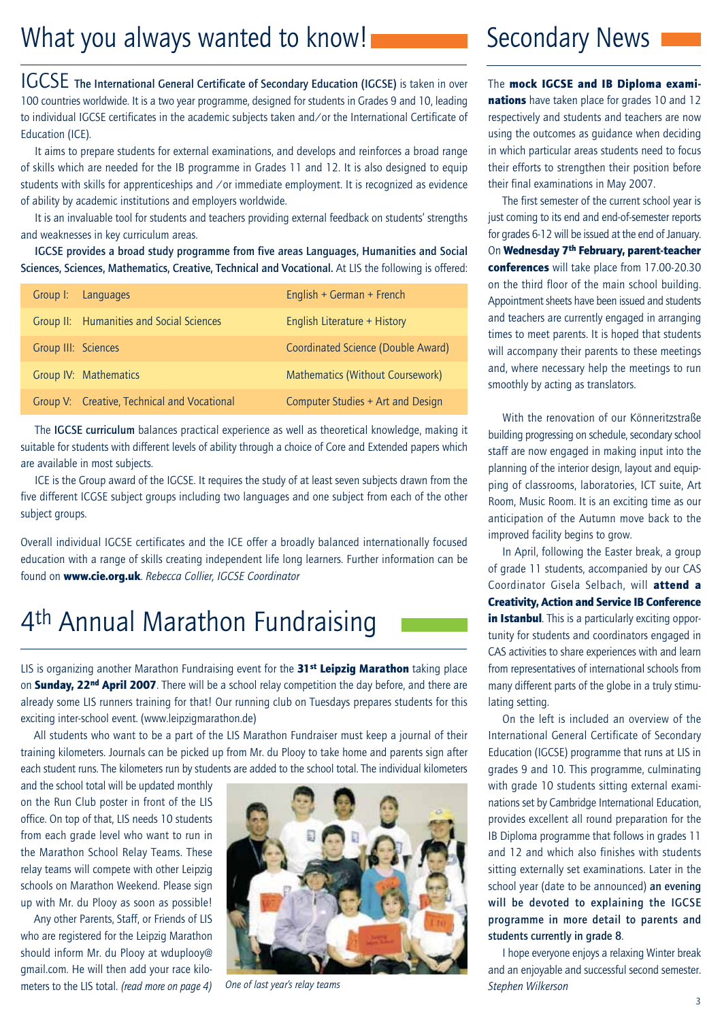IGCSE The International General Certificate of Secondary Education (IGCSE) is taken in over 100 countries worldwide. It is a two year programme, designed for students in Grades 9 and 10, leading to individual IGCSE certificates in the academic subjects taken and/or the International Certificate of Education (ICE).

It aims to prepare students for external examinations, and develops and reinforces a broad range of skills which are needed for the IB programme in Grades 11 and 12. It is also designed to equip students with skills for apprenticeships and /or immediate employment. It is recognized as evidence of ability by academic institutions and employers worldwide.

It is an invaluable tool for students and teachers providing external feedback on students' strengths and weaknesses in key curriculum areas.

IGCSE provides a broad study programme from five areas Languages, Humanities and Social Sciences, Sciences, Mathematics, Creative, Technical and Vocational. At LIS the following is offered:

| Languages<br>Group I:                           | English + German + French          |
|-------------------------------------------------|------------------------------------|
| <b>Group II:</b> Humanities and Social Sciences | English Literature + History       |
| Group III: Sciences                             | Coordinated Science (Double Award) |
| Group IV: Mathematics                           | Mathematics (Without Coursework)   |
| Group V: Creative, Technical and Vocational     | Computer Studies + Art and Design  |

The IGCSE curriculum balances practical experience as well as theoretical knowledge, making it suitable for students with different levels of ability through a choice of Core and Extended papers which are available in most subjects.

ICE is the Group award of the IGCSE. It requires the study of at least seven subjects drawn from the five different ICGSE subject groups including two languages and one subject from each of the other subject groups.

Overall individual IGCSE certificates and the ICE offer a broadly balanced internationally focused education with a range of skills creating independent life long learners. Further information can be found on www.cie.org.uk. *Rebecca Collier, IGCSE Coordinator*

# 4<sup>th</sup> Annual Marathon Fundraising

LIS is organizing another Marathon Fundraising event for the 31<sup>st</sup> Leipzig Marathon taking place on **Sunday, 22<sup>nd</sup> April 2007**. There will be a school relay competition the day before, and there are already some LIS runners training for that! Our running club on Tuesdays prepares students for this exciting inter-school event. (www.leipzigmarathon.de)

All students who want to be a part of the LIS Marathon Fundraiser must keep a journal of their training kilometers. Journals can be picked up from Mr. du Plooy to take home and parents sign after each student runs. The kilometers run by students are added to the school total. The individual kilometers

and the school total will be updated monthly on the Run Club poster in front of the LIS office. On top of that, LIS needs 10 students from each grade level who want to run in the Marathon School Relay Teams. These relay teams will compete with other Leipzig schools on Marathon Weekend. Please sign up with Mr. du Plooy as soon as possible!

Any other Parents, Staff, or Friends of LIS who are registered for the Leipzig Marathon should inform Mr. du Plooy at wduplooy@ gmail.com. He will then add your race kilometers to the LIS total. *(read more on page 4)*



*One of last year's relay teams*

The mock IGCSE and IB Diploma examinations have taken place for grades 10 and 12 respectively and students and teachers are now using the outcomes as guidance when deciding in which particular areas students need to focus their efforts to strengthen their position before their final examinations in May 2007.

The first semester of the current school year is just coming to its end and end-of-semester reports for grades 6-12 will be issued at the end of January. On Wednesday 7<sup>th</sup> February, parent-teacher conferences will take place from 17.00-20.30 on the third floor of the main school building. Appointment sheets have been issued and students and teachers are currently engaged in arranging times to meet parents. It is hoped that students will accompany their parents to these meetings and, where necessary help the meetings to run smoothly by acting as translators.

With the renovation of our Könneritzstraße building progressing on schedule, secondary school staff are now engaged in making input into the planning of the interior design, layout and equipping of classrooms, laboratories, ICT suite, Art Room, Music Room. It is an exciting time as our anticipation of the Autumn move back to the improved facility begins to grow.

In April, following the Easter break, a group of grade 11 students, accompanied by our CAS Coordinator Gisela Selbach, will attend a Creativity, Action and Service IB Conference in Istanbul. This is a particularly exciting opportunity for students and coordinators engaged in CAS activities to share experiences with and learn from representatives of international schools from many different parts of the globe in a truly stimulating setting.

On the left is included an overview of the International General Certificate of Secondary Education (IGCSE) programme that runs at LIS in grades 9 and 10. This programme, culminating with grade 10 students sitting external examinations set by Cambridge International Education, provides excellent all round preparation for the IB Diploma programme that follows in grades 11 and 12 and which also finishes with students sitting externally set examinations. Later in the school year (date to be announced) an evening will be devoted to explaining the IGCSE programme in more detail to parents and students currently in grade 8.

I hope everyone enjoys a relaxing Winter break and an enjoyable and successful second semester. *Stephen Wilkerson*